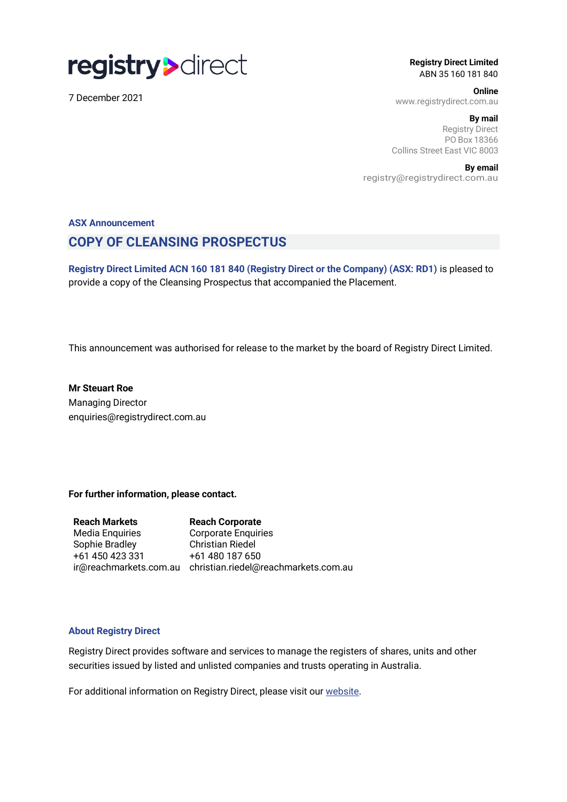

7 December 2021

**Registry Direct Limited** ABN 35 160 181 840

**Online** www.registrydirect.com.au

 **By mail** Registry Direct PO Box 18366 Collins Street East VIC 8003

**By email** registry@registrydirect.com.au

## **ASX Announcement COPY OF CLEANSING PROSPECTUS**

**Registry Direct Limited ACN 160 181 840 (Registry Direct or the Company) (ASX: RD1)** is pleased to provide a copy of the Cleansing Prospectus that accompanied the Placement.

This announcement was authorised for release to the market by the board of Registry Direct Limited.

**Mr Steuart Roe** Managing Director enquiries@registrydirect.com.au

**For further information, please contact.**

**Reach Markets** Media Enquiries Sophie Bradley +61 450 423 331 ir@reachmarkets.com.au christian.riedel@reachmarkets.com.au **Reach Corporate** Corporate Enquiries Christian Riedel +61 480 187 650

### **About Registry Direct**

Registry Direct provides software and services to manage the registers of shares, units and other securities issued by listed and unlisted companies and trusts operating in Australia.

For additional information on Registry Direct, please visit our [website.](https://www.registrydirect.com.au/)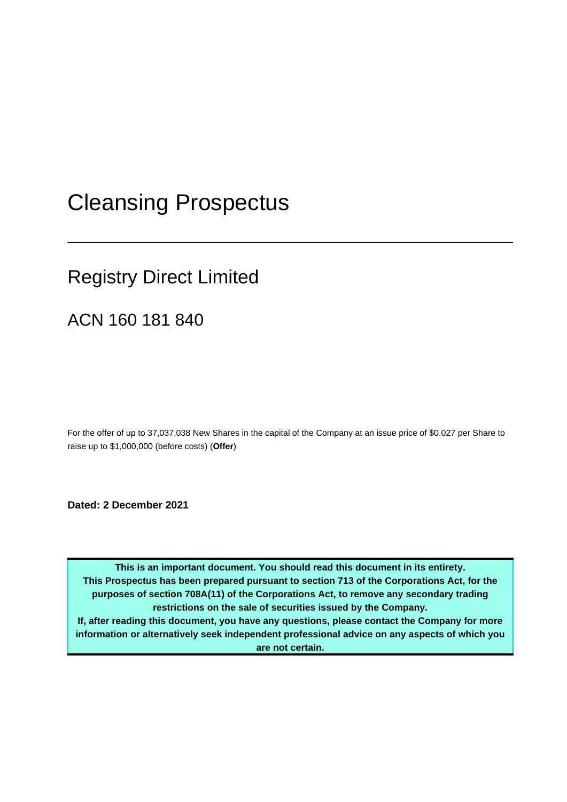# Cleansing Prospectus

# Registry Direct Limited

ACN 160 181 840

For the offer of up to 37,037,038 New Shares in the capital of the Company at an issue price of \$0.027 per Share to raise up to \$1,000,000 (before costs) (**Offer**)

**Dated: 2 December 2021**

**This is an important document. You should read this document in its entirety. This Prospectus has been prepared pursuant to section 713 of the Corporations Act, for the purposes of section 708A(11) of the Corporations Act, to remove any secondary trading restrictions on the sale of securities issued by the Company. If, after reading this document, you have any questions, please contact the Company for more information or alternatively seek independent professional advice on any aspects of which you are not certain.**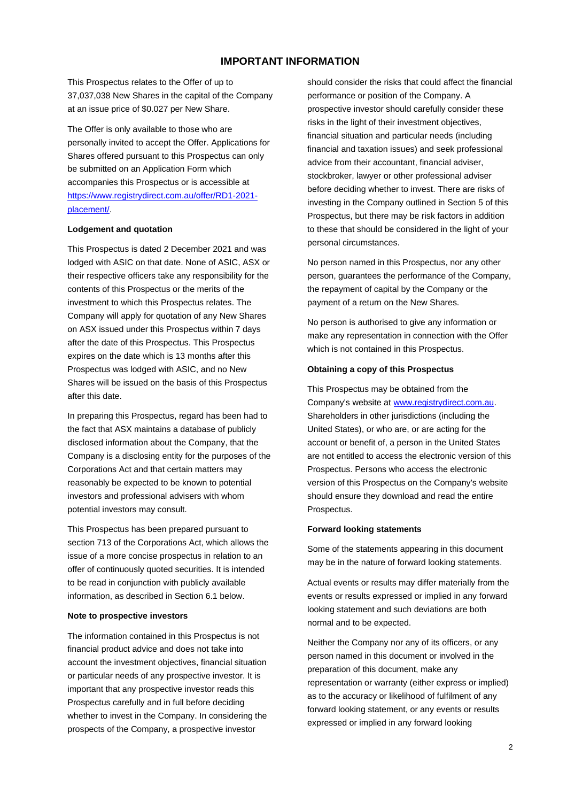### **IMPORTANT INFORMATION**

This Prospectus relates to the Offer of up to 37,037,038 New Shares in the capital of the Company at an issue price of \$0.027 per New Share.

The Offer is only available to those who are personally invited to accept the Offer. Applications for Shares offered pursuant to this Prospectus can only be submitted on an Application Form which accompanies this Prospectus or is accessible at [https://www.registrydirect.com.au/offer/RD1-2021](https://urldefense.com/v3/__https:/www.registrydirect.com.au/offer/RD1-2021-placement/__;!!Hj9Y_P0nvg!CfJ0T343DlVxD0LTpKjnYzVcvfgwnkDBigo1cKTf_x_5k8Gfyfo0tWu-dTlKjQrgomStO_yH$) [placement/.](https://urldefense.com/v3/__https:/www.registrydirect.com.au/offer/RD1-2021-placement/__;!!Hj9Y_P0nvg!CfJ0T343DlVxD0LTpKjnYzVcvfgwnkDBigo1cKTf_x_5k8Gfyfo0tWu-dTlKjQrgomStO_yH$)

#### **Lodgement and quotation**

This Prospectus is dated 2 December 2021 and was lodged with ASIC on that date. None of ASIC, ASX or their respective officers take any responsibility for the contents of this Prospectus or the merits of the investment to which this Prospectus relates. The Company will apply for quotation of any New Shares on ASX issued under this Prospectus within 7 days after the date of this Prospectus. This Prospectus expires on the date which is 13 months after this Prospectus was lodged with ASIC, and no New Shares will be issued on the basis of this Prospectus after this date.

In preparing this Prospectus, regard has been had to the fact that ASX maintains a database of publicly disclosed information about the Company, that the Company is a disclosing entity for the purposes of the Corporations Act and that certain matters may reasonably be expected to be known to potential investors and professional advisers with whom potential investors may consult.

This Prospectus has been prepared pursuant to section 713 of the Corporations Act, which allows the issue of a more concise prospectus in relation to an offer of continuously quoted securities. It is intended to be read in conjunction with publicly available information, as described in Section 6.1 below.

#### **Note to prospective investors**

The information contained in this Prospectus is not financial product advice and does not take into account the investment objectives, financial situation or particular needs of any prospective investor. It is important that any prospective investor reads this Prospectus carefully and in full before deciding whether to invest in the Company. In considering the prospects of the Company, a prospective investor

should consider the risks that could affect the financial performance or position of the Company. A prospective investor should carefully consider these risks in the light of their investment objectives, financial situation and particular needs (including financial and taxation issues) and seek professional advice from their accountant, financial adviser, stockbroker, lawyer or other professional adviser before deciding whether to invest. There are risks of investing in the Company outlined in Section 5 of this Prospectus, but there may be risk factors in addition to these that should be considered in the light of your personal circumstances.

No person named in this Prospectus, nor any other person, guarantees the performance of the Company, the repayment of capital by the Company or the payment of a return on the New Shares.

No person is authorised to give any information or make any representation in connection with the Offer which is not contained in this Prospectus.

### **Obtaining a copy of this Prospectus**

This Prospectus may be obtained from the Company's website at [www.registrydirect.com.au.](http://www.registrydirect.com.au/) Shareholders in other jurisdictions (including the United States), or who are, or are acting for the account or benefit of, a person in the United States are not entitled to access the electronic version of this Prospectus. Persons who access the electronic version of this Prospectus on the Company's website should ensure they download and read the entire Prospectus.

#### **Forward looking statements**

Some of the statements appearing in this document may be in the nature of forward looking statements.

Actual events or results may differ materially from the events or results expressed or implied in any forward looking statement and such deviations are both normal and to be expected.

Neither the Company nor any of its officers, or any person named in this document or involved in the preparation of this document, make any representation or warranty (either express or implied) as to the accuracy or likelihood of fulfilment of any forward looking statement, or any events or results expressed or implied in any forward looking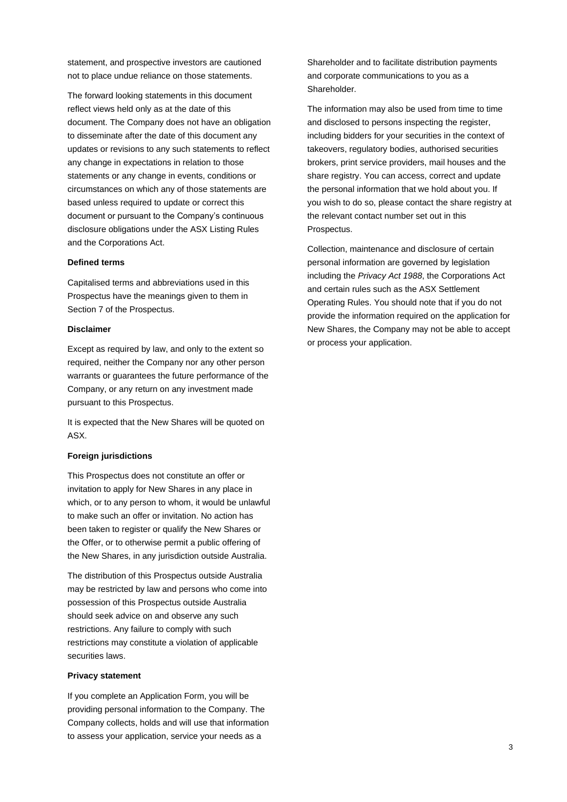statement, and prospective investors are cautioned not to place undue reliance on those statements.

The forward looking statements in this document reflect views held only as at the date of this document. The Company does not have an obligation to disseminate after the date of this document any updates or revisions to any such statements to reflect any change in expectations in relation to those statements or any change in events, conditions or circumstances on which any of those statements are based unless required to update or correct this document or pursuant to the Company's continuous disclosure obligations under the ASX Listing Rules and the Corporations Act.

#### **Defined terms**

Capitalised terms and abbreviations used in this Prospectus have the meanings given to them in Section 7 of the Prospectus.

#### **Disclaimer**

Except as required by law, and only to the extent so required, neither the Company nor any other person warrants or guarantees the future performance of the Company, or any return on any investment made pursuant to this Prospectus.

It is expected that the New Shares will be quoted on ASX.

#### **Foreign jurisdictions**

This Prospectus does not constitute an offer or invitation to apply for New Shares in any place in which, or to any person to whom, it would be unlawful to make such an offer or invitation. No action has been taken to register or qualify the New Shares or the Offer, or to otherwise permit a public offering of the New Shares, in any jurisdiction outside Australia.

The distribution of this Prospectus outside Australia may be restricted by law and persons who come into possession of this Prospectus outside Australia should seek advice on and observe any such restrictions. Any failure to comply with such restrictions may constitute a violation of applicable securities laws.

#### **Privacy statement**

If you complete an Application Form, you will be providing personal information to the Company. The Company collects, holds and will use that information to assess your application, service your needs as a

Shareholder and to facilitate distribution payments and corporate communications to you as a Shareholder.

The information may also be used from time to time and disclosed to persons inspecting the register, including bidders for your securities in the context of takeovers, regulatory bodies, authorised securities brokers, print service providers, mail houses and the share registry. You can access, correct and update the personal information that we hold about you. If you wish to do so, please contact the share registry at the relevant contact number set out in this Prospectus.

Collection, maintenance and disclosure of certain personal information are governed by legislation including the *Privacy Act 1988*, the Corporations Act and certain rules such as the ASX Settlement Operating Rules. You should note that if you do not provide the information required on the application for New Shares, the Company may not be able to accept or process your application.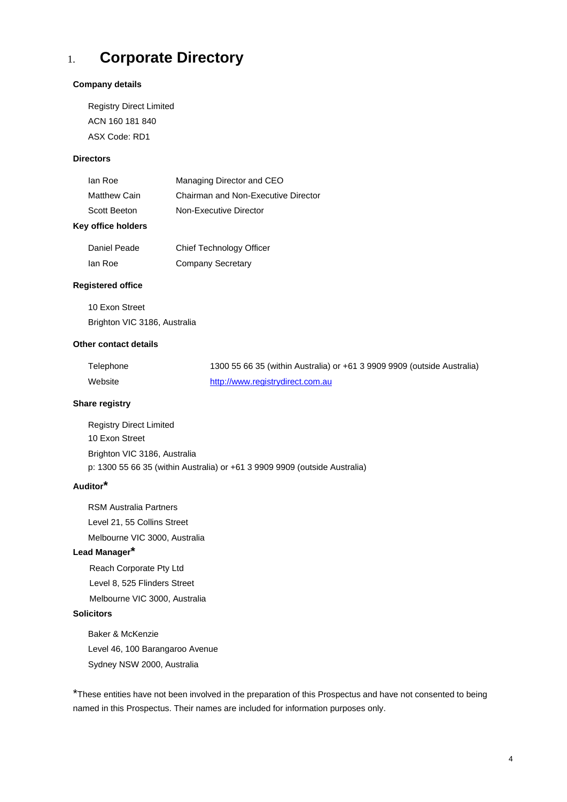## 1. **Corporate Directory**

#### **Company details**

Registry Direct Limited ACN 160 181 840 ASX Code: RD1

#### **Directors**

| lan Roe             | Managing Director and CEO           |
|---------------------|-------------------------------------|
| <b>Matthew Cain</b> | Chairman and Non-Executive Director |
| Scott Beeton        | Non-Executive Director              |

### **Key office holders**

| Daniel Peade | Chief Technology Officer |
|--------------|--------------------------|
| lan Roe      | <b>Company Secretary</b> |

#### **Registered office**

10 Exon Street Brighton VIC 3186, Australia

#### **Other contact details**

| Telephone | 1300 55 66 35 (within Australia) or +61 3 9909 9909 (outside Australia) |
|-----------|-------------------------------------------------------------------------|
| Website   | http://www.registrydirect.com.au                                        |

#### **Share registry**

Registry Direct Limited 10 Exon Street Brighton VIC 3186, Australia p: 1300 55 66 35 (within Australia) or +61 3 9909 9909 (outside Australia)

### **Auditor\***

RSM Australia Partners Level 21, 55 Collins Street Melbourne VIC 3000, Australia

### **Lead Manager\***

Reach Corporate Pty Ltd Level 8, 525 Flinders Street Melbourne VIC 3000, Australia

### **Solicitors**

Baker & McKenzie Level 46, 100 Barangaroo Avenue Sydney NSW 2000, Australia

\*These entities have not been involved in the preparation of this Prospectus and have not consented to being named in this Prospectus. Their names are included for information purposes only.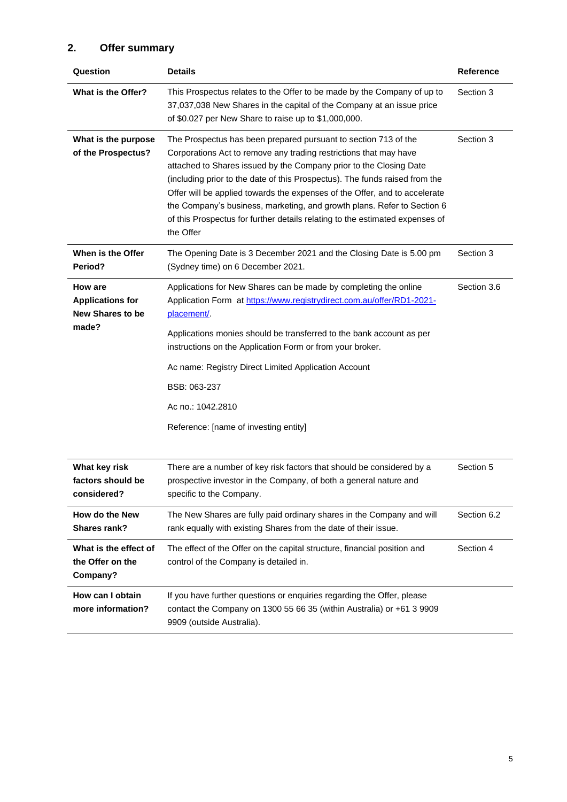## **2. Offer summary**

| Question                                                      | <b>Details</b>                                                                                                                                                                                                                                                                                                                                                                                                                                                                                                                                  | <b>Reference</b> |  |
|---------------------------------------------------------------|-------------------------------------------------------------------------------------------------------------------------------------------------------------------------------------------------------------------------------------------------------------------------------------------------------------------------------------------------------------------------------------------------------------------------------------------------------------------------------------------------------------------------------------------------|------------------|--|
| What is the Offer?                                            | This Prospectus relates to the Offer to be made by the Company of up to<br>37,037,038 New Shares in the capital of the Company at an issue price<br>of \$0.027 per New Share to raise up to \$1,000,000.                                                                                                                                                                                                                                                                                                                                        | Section 3        |  |
| What is the purpose<br>of the Prospectus?                     | The Prospectus has been prepared pursuant to section 713 of the<br>Corporations Act to remove any trading restrictions that may have<br>attached to Shares issued by the Company prior to the Closing Date<br>(including prior to the date of this Prospectus). The funds raised from the<br>Offer will be applied towards the expenses of the Offer, and to accelerate<br>the Company's business, marketing, and growth plans. Refer to Section 6<br>of this Prospectus for further details relating to the estimated expenses of<br>the Offer | Section 3        |  |
| When is the Offer<br>Period?                                  | The Opening Date is 3 December 2021 and the Closing Date is 5.00 pm<br>(Sydney time) on 6 December 2021.                                                                                                                                                                                                                                                                                                                                                                                                                                        | Section 3        |  |
| How are<br><b>Applications for</b><br><b>New Shares to be</b> | Applications for New Shares can be made by completing the online<br>Application Form at https://www.registrydirect.com.au/offer/RD1-2021-<br>placement/                                                                                                                                                                                                                                                                                                                                                                                         | Section 3.6      |  |
| made?                                                         | Applications monies should be transferred to the bank account as per<br>instructions on the Application Form or from your broker.                                                                                                                                                                                                                                                                                                                                                                                                               |                  |  |
|                                                               | Ac name: Registry Direct Limited Application Account                                                                                                                                                                                                                                                                                                                                                                                                                                                                                            |                  |  |
|                                                               | BSB: 063-237                                                                                                                                                                                                                                                                                                                                                                                                                                                                                                                                    |                  |  |
|                                                               | Ac no.: 1042.2810                                                                                                                                                                                                                                                                                                                                                                                                                                                                                                                               |                  |  |
|                                                               | Reference: [name of investing entity]                                                                                                                                                                                                                                                                                                                                                                                                                                                                                                           |                  |  |
| What key risk<br>factors should be<br>considered?             | There are a number of key risk factors that should be considered by a<br>prospective investor in the Company, of both a general nature and<br>specific to the Company.                                                                                                                                                                                                                                                                                                                                                                          | Section 5        |  |
| How do the New<br>Shares rank?                                | The New Shares are fully paid ordinary shares in the Company and will<br>rank equally with existing Shares from the date of their issue.                                                                                                                                                                                                                                                                                                                                                                                                        | Section 6.2      |  |
| What is the effect of<br>the Offer on the<br>Company?         | The effect of the Offer on the capital structure, financial position and<br>control of the Company is detailed in.                                                                                                                                                                                                                                                                                                                                                                                                                              | Section 4        |  |
| How can I obtain<br>more information?                         | If you have further questions or enquiries regarding the Offer, please<br>contact the Company on 1300 55 66 35 (within Australia) or +61 3 9909<br>9909 (outside Australia).                                                                                                                                                                                                                                                                                                                                                                    |                  |  |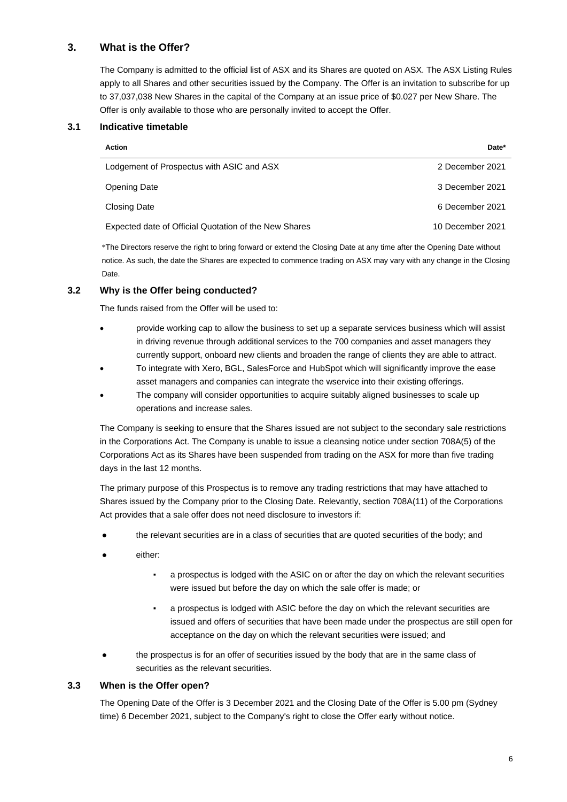### **3. What is the Offer?**

The Company is admitted to the official list of ASX and its Shares are quoted on ASX. The ASX Listing Rules apply to all Shares and other securities issued by the Company. The Offer is an invitation to subscribe for up to 37,037,038 New Shares in the capital of the Company at an issue price of \$0.027 per New Share. The Offer is only available to those who are personally invited to accept the Offer.

### **3.1 Indicative timetable**

| <b>Action</b>                                         | Date*            |
|-------------------------------------------------------|------------------|
| Lodgement of Prospectus with ASIC and ASX             | 2 December 2021  |
| Opening Date                                          | 3 December 2021  |
| Closing Date                                          | 6 December 2021  |
| Expected date of Official Quotation of the New Shares | 10 December 2021 |

\*The Directors reserve the right to bring forward or extend the Closing Date at any time after the Opening Date without notice. As such, the date the Shares are expected to commence trading on ASX may vary with any change in the Closing Date.

### **3.2 Why is the Offer being conducted?**

The funds raised from the Offer will be used to:

- provide working cap to allow the business to set up a separate services business which will assist in driving revenue through additional services to the 700 companies and asset managers they currently support, onboard new clients and broaden the range of clients they are able to attract.
- To integrate with Xero, BGL, SalesForce and HubSpot which will significantly improve the ease asset managers and companies can integrate the wservice into their existing offerings.
- The company will consider opportunities to acquire suitably aligned businesses to scale up operations and increase sales.

The Company is seeking to ensure that the Shares issued are not subject to the secondary sale restrictions in the Corporations Act. The Company is unable to issue a cleansing notice under section 708A(5) of the Corporations Act as its Shares have been suspended from trading on the ASX for more than five trading days in the last 12 months.

The primary purpose of this Prospectus is to remove any trading restrictions that may have attached to Shares issued by the Company prior to the Closing Date. Relevantly, section 708A(11) of the Corporations Act provides that a sale offer does not need disclosure to investors if:

- the relevant securities are in a class of securities that are quoted securities of the body; and
- either:
	- a prospectus is lodged with the ASIC on or after the day on which the relevant securities were issued but before the day on which the sale offer is made; or
	- a prospectus is lodged with ASIC before the day on which the relevant securities are issued and offers of securities that have been made under the prospectus are still open for acceptance on the day on which the relevant securities were issued; and
- the prospectus is for an offer of securities issued by the body that are in the same class of securities as the relevant securities.

### **3.3 When is the Offer open?**

The Opening Date of the Offer is 3 December 2021 and the Closing Date of the Offer is 5.00 pm (Sydney time) 6 December 2021, subject to the Company's right to close the Offer early without notice.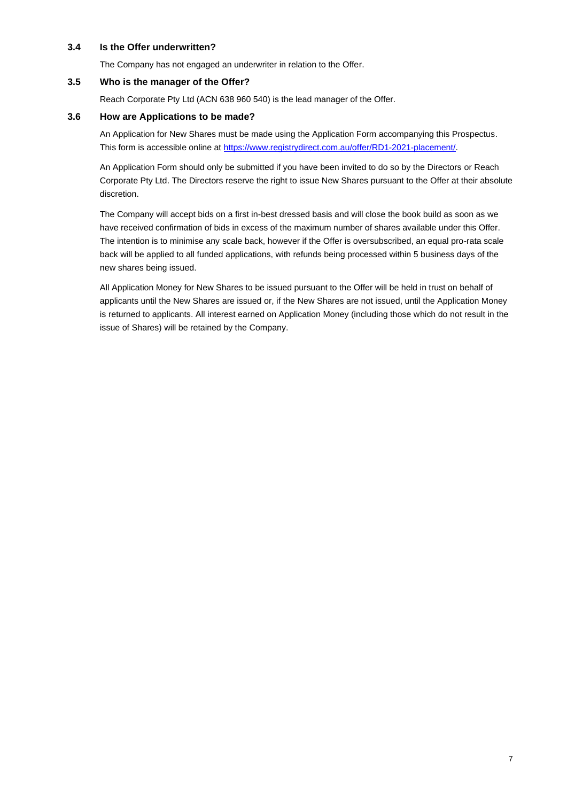### **3.4 Is the Offer underwritten?**

The Company has not engaged an underwriter in relation to the Offer.

### **3.5 Who is the manager of the Offer?**

Reach Corporate Pty Ltd (ACN 638 960 540) is the lead manager of the Offer.

### **3.6 How are Applications to be made?**

An Application for New Shares must be made using the Application Form accompanying this Prospectus. This form is accessible online at [https://www.registrydirect.com.au/offer/RD1-2021-placement/.](https://urldefense.com/v3/__https:/www.registrydirect.com.au/offer/RD1-2021-placement/__;!!Hj9Y_P0nvg!CfJ0T343DlVxD0LTpKjnYzVcvfgwnkDBigo1cKTf_x_5k8Gfyfo0tWu-dTlKjQrgomStO_yH$)

An Application Form should only be submitted if you have been invited to do so by the Directors or Reach Corporate Pty Ltd. The Directors reserve the right to issue New Shares pursuant to the Offer at their absolute discretion.

The Company will accept bids on a first in-best dressed basis and will close the book build as soon as we have received confirmation of bids in excess of the maximum number of shares available under this Offer. The intention is to minimise any scale back, however if the Offer is oversubscribed, an equal pro-rata scale back will be applied to all funded applications, with refunds being processed within 5 business days of the new shares being issued.

All Application Money for New Shares to be issued pursuant to the Offer will be held in trust on behalf of applicants until the New Shares are issued or, if the New Shares are not issued, until the Application Money is returned to applicants. All interest earned on Application Money (including those which do not result in the issue of Shares) will be retained by the Company.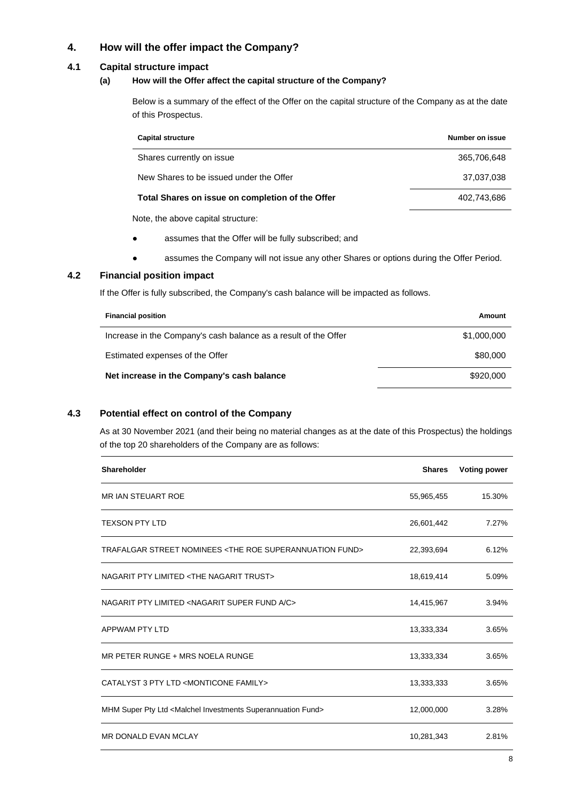### **4. How will the offer impact the Company?**

### **4.1 Capital structure impact**

### **(a) How will the Offer affect the capital structure of the Company?**

Below is a summary of the effect of the Offer on the capital structure of the Company as at the date of this Prospectus.

| <b>Capital structure</b>                         | Number on issue |
|--------------------------------------------------|-----------------|
| Shares currently on issue                        | 365,706,648     |
| New Shares to be issued under the Offer          | 37,037,038      |
| Total Shares on issue on completion of the Offer | 402.743.686     |
| Note, the above capital structure:               |                 |

● assumes that the Offer will be fully subscribed; and

● assumes the Company will not issue any other Shares or options during the Offer Period.

### **4.2 Financial position impact**

If the Offer is fully subscribed, the Company's cash balance will be impacted as follows.

| <b>Financial position</b>                                       | Amount      |
|-----------------------------------------------------------------|-------------|
| Increase in the Company's cash balance as a result of the Offer | \$1,000,000 |
| Estimated expenses of the Offer                                 | \$80,000    |
| Net increase in the Company's cash balance                      | \$920,000   |

### **4.3 Potential effect on control of the Company**

As at 30 November 2021 (and their being no material changes as at the date of this Prospectus) the holdings of the top 20 shareholders of the Company are as follows:

| Shareholder                                                                    | <b>Shares</b> | <b>Voting power</b> |
|--------------------------------------------------------------------------------|---------------|---------------------|
| <b>MR IAN STEUART ROE</b>                                                      | 55,965,455    | 15.30%              |
| <b>TEXSON PTY LTD</b>                                                          | 26,601,442    | 7.27%               |
| TRAFALGAR STREET NOMINEES <the fund="" roe="" superannuation=""></the>         | 22,393,694    | 6.12%               |
| NAGARIT PTY LIMITED <the nagarit="" trust=""></the>                            | 18,619,414    | 5.09%               |
| NAGARIT PTY LIMITED <nagarit a="" c="" fund="" super=""></nagarit>             | 14,415,967    | 3.94%               |
| APPWAM PTY LTD                                                                 | 13,333,334    | 3.65%               |
| MR PETER RUNGE + MRS NOELA RUNGE                                               | 13,333,334    | 3.65%               |
| CATALYST 3 PTY LTD <monticone family=""></monticone>                           | 13,333,333    | 3.65%               |
| MHM Super Pty Ltd <malchel fund="" investments="" superannuation=""></malchel> | 12,000,000    | 3.28%               |
| <b>MR DONALD EVAN MCLAY</b>                                                    | 10,281,343    | 2.81%               |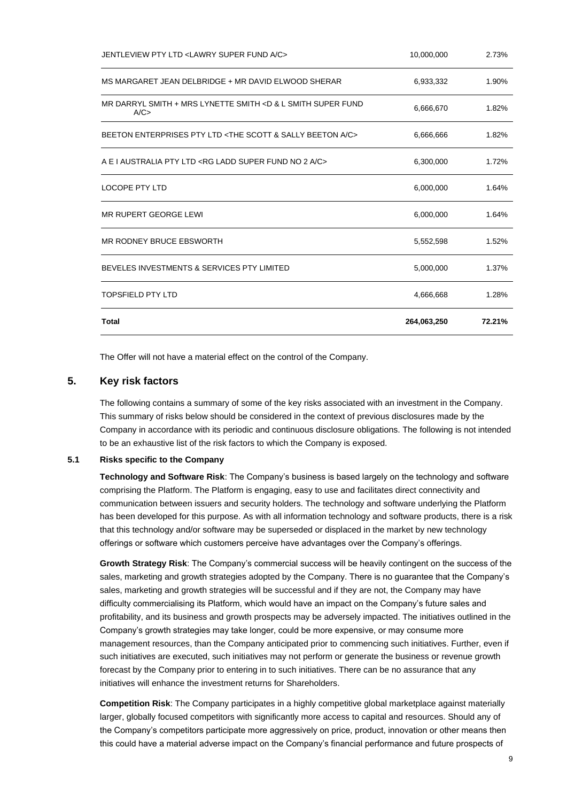| <b>Total</b>                                                                          | 264,063,250 | 72.21% |
|---------------------------------------------------------------------------------------|-------------|--------|
| <b>TOPSFIELD PTY LTD</b>                                                              | 4,666,668   | 1.28%  |
| BEVELES INVESTMENTS & SERVICES PTY LIMITED                                            | 5,000,000   | 1.37%  |
| MR RODNEY BRUCE EBSWORTH                                                              | 5,552,598   | 1.52%  |
| MR RUPERT GEORGE LEWI                                                                 | 6,000,000   | 1.64%  |
| <b>LOCOPE PTY LTD</b>                                                                 | 6,000,000   | 1.64%  |
| A E LAUSTRALIA PTY LTD <rg 2="" a="" c="" fund="" ladd="" no="" super=""></rg>        | 6,300,000   | 1.72%  |
| BEETON ENTERPRISES PTY LTD <the &="" a="" beeton="" c="" sally="" scott=""></the>     | 6,666,666   | 1.82%  |
| MR DARRYL SMITH + MRS LYNETTE SMITH <d &="" fund<br="" l="" smith="" super="">A/C</d> | 6,666,670   | 1.82%  |
| MS MARGARET JEAN DELBRIDGE + MR DAVID ELWOOD SHERAR                                   | 6,933,332   | 1.90%  |
| JENTLEVIEW PTY LTD <lawry a="" c="" fund="" super=""></lawry>                         | 10,000,000  | 2.73%  |

The Offer will not have a material effect on the control of the Company.

### **5. Key risk factors**

The following contains a summary of some of the key risks associated with an investment in the Company. This summary of risks below should be considered in the context of previous disclosures made by the Company in accordance with its periodic and continuous disclosure obligations. The following is not intended to be an exhaustive list of the risk factors to which the Company is exposed.

### **5.1 Risks specific to the Company**

**Technology and Software Risk**: The Company's business is based largely on the technology and software comprising the Platform. The Platform is engaging, easy to use and facilitates direct connectivity and communication between issuers and security holders. The technology and software underlying the Platform has been developed for this purpose. As with all information technology and software products, there is a risk that this technology and/or software may be superseded or displaced in the market by new technology offerings or software which customers perceive have advantages over the Company's offerings.

**Growth Strategy Risk**: The Company's commercial success will be heavily contingent on the success of the sales, marketing and growth strategies adopted by the Company. There is no guarantee that the Company's sales, marketing and growth strategies will be successful and if they are not, the Company may have difficulty commercialising its Platform, which would have an impact on the Company's future sales and profitability, and its business and growth prospects may be adversely impacted. The initiatives outlined in the Company's growth strategies may take longer, could be more expensive, or may consume more management resources, than the Company anticipated prior to commencing such initiatives. Further, even if such initiatives are executed, such initiatives may not perform or generate the business or revenue growth forecast by the Company prior to entering in to such initiatives. There can be no assurance that any initiatives will enhance the investment returns for Shareholders.

**Competition Risk**: The Company participates in a highly competitive global marketplace against materially larger, globally focused competitors with significantly more access to capital and resources. Should any of the Company's competitors participate more aggressively on price, product, innovation or other means then this could have a material adverse impact on the Company's financial performance and future prospects of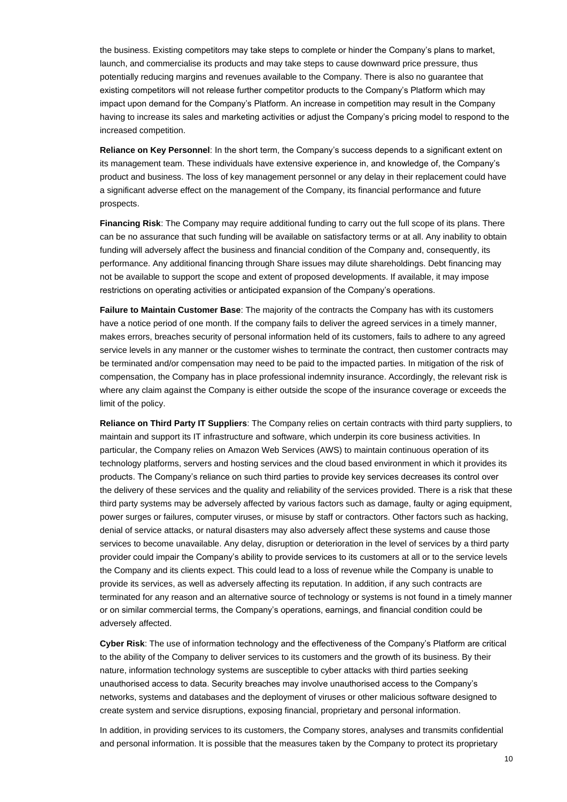the business. Existing competitors may take steps to complete or hinder the Company's plans to market, launch, and commercialise its products and may take steps to cause downward price pressure, thus potentially reducing margins and revenues available to the Company. There is also no guarantee that existing competitors will not release further competitor products to the Company's Platform which may impact upon demand for the Company's Platform. An increase in competition may result in the Company having to increase its sales and marketing activities or adjust the Company's pricing model to respond to the increased competition.

**Reliance on Key Personnel**: In the short term, the Company's success depends to a significant extent on its management team. These individuals have extensive experience in, and knowledge of, the Company's product and business. The loss of key management personnel or any delay in their replacement could have a significant adverse effect on the management of the Company, its financial performance and future prospects.

**Financing Risk**: The Company may require additional funding to carry out the full scope of its plans. There can be no assurance that such funding will be available on satisfactory terms or at all. Any inability to obtain funding will adversely affect the business and financial condition of the Company and, consequently, its performance. Any additional financing through Share issues may dilute shareholdings. Debt financing may not be available to support the scope and extent of proposed developments. If available, it may impose restrictions on operating activities or anticipated expansion of the Company's operations.

**Failure to Maintain Customer Base**: The majority of the contracts the Company has with its customers have a notice period of one month. If the company fails to deliver the agreed services in a timely manner, makes errors, breaches security of personal information held of its customers, fails to adhere to any agreed service levels in any manner or the customer wishes to terminate the contract, then customer contracts may be terminated and/or compensation may need to be paid to the impacted parties. In mitigation of the risk of compensation, the Company has in place professional indemnity insurance. Accordingly, the relevant risk is where any claim against the Company is either outside the scope of the insurance coverage or exceeds the limit of the policy.

**Reliance on Third Party IT Suppliers**: The Company relies on certain contracts with third party suppliers, to maintain and support its IT infrastructure and software, which underpin its core business activities. In particular, the Company relies on Amazon Web Services (AWS) to maintain continuous operation of its technology platforms, servers and hosting services and the cloud based environment in which it provides its products. The Company's reliance on such third parties to provide key services decreases its control over the delivery of these services and the quality and reliability of the services provided. There is a risk that these third party systems may be adversely affected by various factors such as damage, faulty or aging equipment, power surges or failures, computer viruses, or misuse by staff or contractors. Other factors such as hacking, denial of service attacks, or natural disasters may also adversely affect these systems and cause those services to become unavailable. Any delay, disruption or deterioration in the level of services by a third party provider could impair the Company's ability to provide services to its customers at all or to the service levels the Company and its clients expect. This could lead to a loss of revenue while the Company is unable to provide its services, as well as adversely affecting its reputation. In addition, if any such contracts are terminated for any reason and an alternative source of technology or systems is not found in a timely manner or on similar commercial terms, the Company's operations, earnings, and financial condition could be adversely affected.

**Cyber Risk**: The use of information technology and the effectiveness of the Company's Platform are critical to the ability of the Company to deliver services to its customers and the growth of its business. By their nature, information technology systems are susceptible to cyber attacks with third parties seeking unauthorised access to data. Security breaches may involve unauthorised access to the Company's networks, systems and databases and the deployment of viruses or other malicious software designed to create system and service disruptions, exposing financial, proprietary and personal information.

In addition, in providing services to its customers, the Company stores, analyses and transmits confidential and personal information. It is possible that the measures taken by the Company to protect its proprietary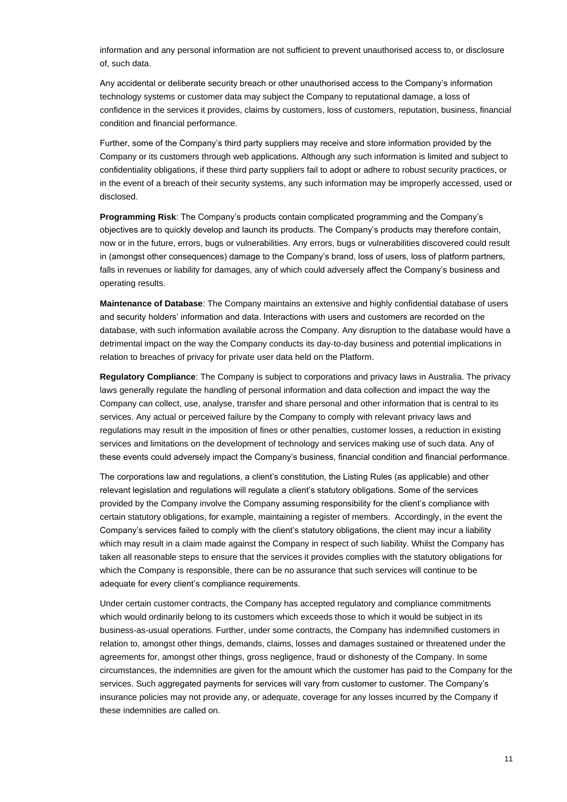information and any personal information are not sufficient to prevent unauthorised access to, or disclosure of, such data.

Any accidental or deliberate security breach or other unauthorised access to the Company's information technology systems or customer data may subject the Company to reputational damage, a loss of confidence in the services it provides, claims by customers, loss of customers, reputation, business, financial condition and financial performance.

Further, some of the Company's third party suppliers may receive and store information provided by the Company or its customers through web applications. Although any such information is limited and subject to confidentiality obligations, if these third party suppliers fail to adopt or adhere to robust security practices, or in the event of a breach of their security systems, any such information may be improperly accessed, used or disclosed.

**Programming Risk**: The Company's products contain complicated programming and the Company's objectives are to quickly develop and launch its products. The Company's products may therefore contain, now or in the future, errors, bugs or vulnerabilities. Any errors, bugs or vulnerabilities discovered could result in (amongst other consequences) damage to the Company's brand, loss of users, loss of platform partners, falls in revenues or liability for damages, any of which could adversely affect the Company's business and operating results.

**Maintenance of Database**: The Company maintains an extensive and highly confidential database of users and security holders' information and data. Interactions with users and customers are recorded on the database, with such information available across the Company. Any disruption to the database would have a detrimental impact on the way the Company conducts its day-to-day business and potential implications in relation to breaches of privacy for private user data held on the Platform.

**Regulatory Compliance**: The Company is subject to corporations and privacy laws in Australia. The privacy laws generally regulate the handling of personal information and data collection and impact the way the Company can collect, use, analyse, transfer and share personal and other information that is central to its services. Any actual or perceived failure by the Company to comply with relevant privacy laws and regulations may result in the imposition of fines or other penalties, customer losses, a reduction in existing services and limitations on the development of technology and services making use of such data. Any of these events could adversely impact the Company's business, financial condition and financial performance.

The corporations law and regulations, a client's constitution, the Listing Rules (as applicable) and other relevant legislation and regulations will regulate a client's statutory obligations. Some of the services provided by the Company involve the Company assuming responsibility for the client's compliance with certain statutory obligations, for example, maintaining a register of members. Accordingly, in the event the Company's services failed to comply with the client's statutory obligations, the client may incur a liability which may result in a claim made against the Company in respect of such liability. Whilst the Company has taken all reasonable steps to ensure that the services it provides complies with the statutory obligations for which the Company is responsible, there can be no assurance that such services will continue to be adequate for every client's compliance requirements.

Under certain customer contracts, the Company has accepted regulatory and compliance commitments which would ordinarily belong to its customers which exceeds those to which it would be subject in its business-as-usual operations. Further, under some contracts, the Company has indemnified customers in relation to, amongst other things, demands, claims, losses and damages sustained or threatened under the agreements for, amongst other things, gross negligence, fraud or dishonesty of the Company. In some circumstances, the indemnities are given for the amount which the customer has paid to the Company for the services. Such aggregated payments for services will vary from customer to customer. The Company's insurance policies may not provide any, or adequate, coverage for any losses incurred by the Company if these indemnities are called on.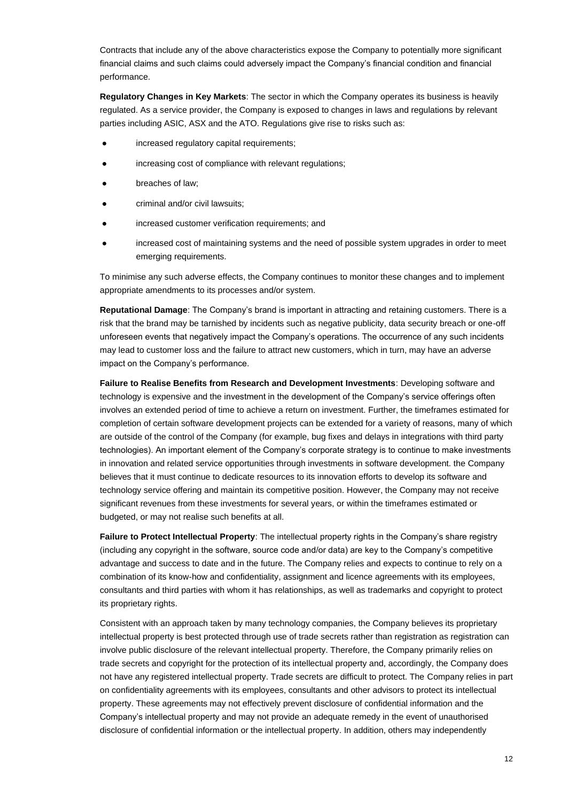Contracts that include any of the above characteristics expose the Company to potentially more significant financial claims and such claims could adversely impact the Company's financial condition and financial performance.

**Regulatory Changes in Key Markets**: The sector in which the Company operates its business is heavily regulated. As a service provider, the Company is exposed to changes in laws and regulations by relevant parties including ASIC, ASX and the ATO. Regulations give rise to risks such as:

- increased regulatory capital requirements;
- increasing cost of compliance with relevant regulations;
- breaches of law;
- criminal and/or civil lawsuits;
- increased customer verification requirements; and
- increased cost of maintaining systems and the need of possible system upgrades in order to meet emerging requirements.

To minimise any such adverse effects, the Company continues to monitor these changes and to implement appropriate amendments to its processes and/or system.

**Reputational Damage**: The Company's brand is important in attracting and retaining customers. There is a risk that the brand may be tarnished by incidents such as negative publicity, data security breach or one-off unforeseen events that negatively impact the Company's operations. The occurrence of any such incidents may lead to customer loss and the failure to attract new customers, which in turn, may have an adverse impact on the Company's performance.

**Failure to Realise Benefits from Research and Development Investments**: Developing software and technology is expensive and the investment in the development of the Company's service offerings often involves an extended period of time to achieve a return on investment. Further, the timeframes estimated for completion of certain software development projects can be extended for a variety of reasons, many of which are outside of the control of the Company (for example, bug fixes and delays in integrations with third party technologies). An important element of the Company's corporate strategy is to continue to make investments in innovation and related service opportunities through investments in software development. the Company believes that it must continue to dedicate resources to its innovation efforts to develop its software and technology service offering and maintain its competitive position. However, the Company may not receive significant revenues from these investments for several years, or within the timeframes estimated or budgeted, or may not realise such benefits at all.

**Failure to Protect Intellectual Property**: The intellectual property rights in the Company's share registry (including any copyright in the software, source code and/or data) are key to the Company's competitive advantage and success to date and in the future. The Company relies and expects to continue to rely on a combination of its know-how and confidentiality, assignment and licence agreements with its employees, consultants and third parties with whom it has relationships, as well as trademarks and copyright to protect its proprietary rights.

Consistent with an approach taken by many technology companies, the Company believes its proprietary intellectual property is best protected through use of trade secrets rather than registration as registration can involve public disclosure of the relevant intellectual property. Therefore, the Company primarily relies on trade secrets and copyright for the protection of its intellectual property and, accordingly, the Company does not have any registered intellectual property. Trade secrets are difficult to protect. The Company relies in part on confidentiality agreements with its employees, consultants and other advisors to protect its intellectual property. These agreements may not effectively prevent disclosure of confidential information and the Company's intellectual property and may not provide an adequate remedy in the event of unauthorised disclosure of confidential information or the intellectual property. In addition, others may independently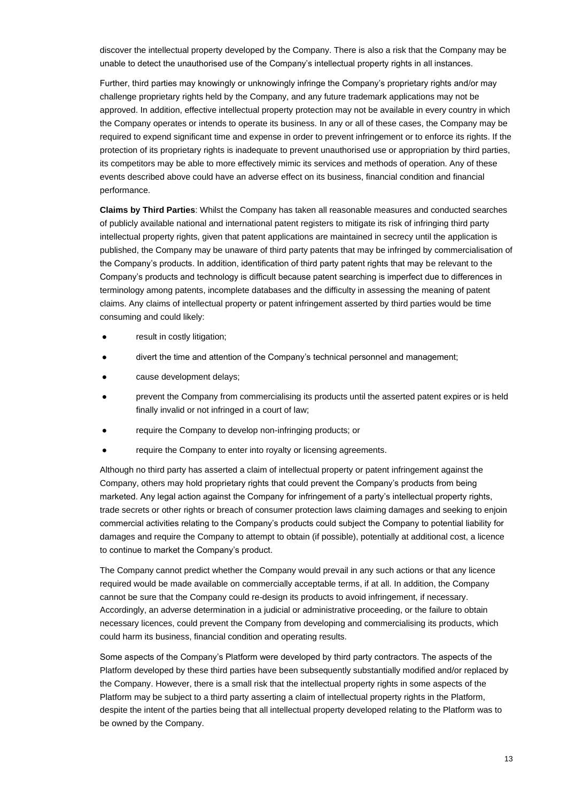discover the intellectual property developed by the Company. There is also a risk that the Company may be unable to detect the unauthorised use of the Company's intellectual property rights in all instances.

Further, third parties may knowingly or unknowingly infringe the Company's proprietary rights and/or may challenge proprietary rights held by the Company, and any future trademark applications may not be approved. In addition, effective intellectual property protection may not be available in every country in which the Company operates or intends to operate its business. In any or all of these cases, the Company may be required to expend significant time and expense in order to prevent infringement or to enforce its rights. If the protection of its proprietary rights is inadequate to prevent unauthorised use or appropriation by third parties, its competitors may be able to more effectively mimic its services and methods of operation. Any of these events described above could have an adverse effect on its business, financial condition and financial performance.

**Claims by Third Parties**: Whilst the Company has taken all reasonable measures and conducted searches of publicly available national and international patent registers to mitigate its risk of infringing third party intellectual property rights, given that patent applications are maintained in secrecy until the application is published, the Company may be unaware of third party patents that may be infringed by commercialisation of the Company's products. In addition, identification of third party patent rights that may be relevant to the Company's products and technology is difficult because patent searching is imperfect due to differences in terminology among patents, incomplete databases and the difficulty in assessing the meaning of patent claims. Any claims of intellectual property or patent infringement asserted by third parties would be time consuming and could likely:

- result in costly litigation;
- divert the time and attention of the Company's technical personnel and management;
- cause development delays;
- prevent the Company from commercialising its products until the asserted patent expires or is held finally invalid or not infringed in a court of law;
- require the Company to develop non-infringing products; or
- require the Company to enter into royalty or licensing agreements.

Although no third party has asserted a claim of intellectual property or patent infringement against the Company, others may hold proprietary rights that could prevent the Company's products from being marketed. Any legal action against the Company for infringement of a party's intellectual property rights, trade secrets or other rights or breach of consumer protection laws claiming damages and seeking to enjoin commercial activities relating to the Company's products could subject the Company to potential liability for damages and require the Company to attempt to obtain (if possible), potentially at additional cost, a licence to continue to market the Company's product.

The Company cannot predict whether the Company would prevail in any such actions or that any licence required would be made available on commercially acceptable terms, if at all. In addition, the Company cannot be sure that the Company could re-design its products to avoid infringement, if necessary. Accordingly, an adverse determination in a judicial or administrative proceeding, or the failure to obtain necessary licences, could prevent the Company from developing and commercialising its products, which could harm its business, financial condition and operating results.

Some aspects of the Company's Platform were developed by third party contractors. The aspects of the Platform developed by these third parties have been subsequently substantially modified and/or replaced by the Company. However, there is a small risk that the intellectual property rights in some aspects of the Platform may be subject to a third party asserting a claim of intellectual property rights in the Platform, despite the intent of the parties being that all intellectual property developed relating to the Platform was to be owned by the Company.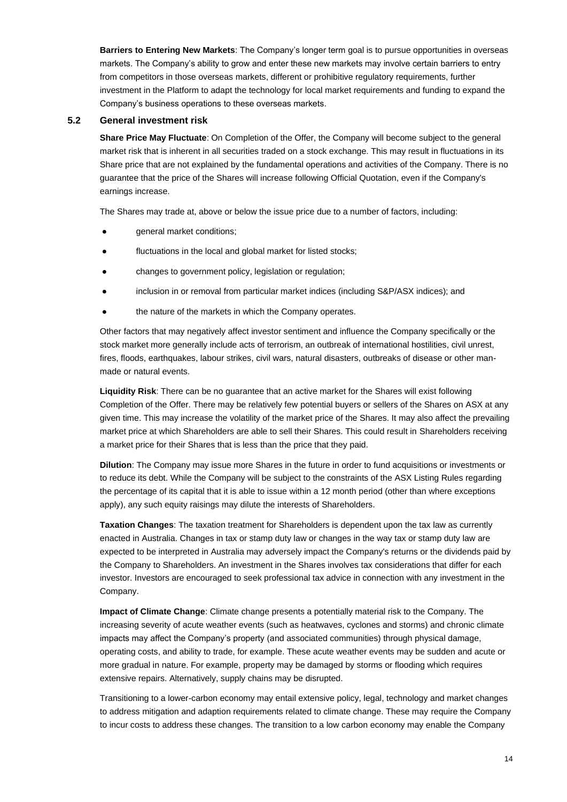**Barriers to Entering New Markets**: The Company's longer term goal is to pursue opportunities in overseas markets. The Company's ability to grow and enter these new markets may involve certain barriers to entry from competitors in those overseas markets, different or prohibitive regulatory requirements, further investment in the Platform to adapt the technology for local market requirements and funding to expand the Company's business operations to these overseas markets.

### **5.2 General investment risk**

**Share Price May Fluctuate**: On Completion of the Offer, the Company will become subject to the general market risk that is inherent in all securities traded on a stock exchange. This may result in fluctuations in its Share price that are not explained by the fundamental operations and activities of the Company. There is no guarantee that the price of the Shares will increase following Official Quotation, even if the Company's earnings increase.

The Shares may trade at, above or below the issue price due to a number of factors, including:

- general market conditions;
- fluctuations in the local and global market for listed stocks;
- changes to government policy, legislation or regulation;
- inclusion in or removal from particular market indices (including S&P/ASX indices); and
- the nature of the markets in which the Company operates.

Other factors that may negatively affect investor sentiment and influence the Company specifically or the stock market more generally include acts of terrorism, an outbreak of international hostilities, civil unrest, fires, floods, earthquakes, labour strikes, civil wars, natural disasters, outbreaks of disease or other manmade or natural events.

**Liquidity Risk**: There can be no guarantee that an active market for the Shares will exist following Completion of the Offer. There may be relatively few potential buyers or sellers of the Shares on ASX at any given time. This may increase the volatility of the market price of the Shares. It may also affect the prevailing market price at which Shareholders are able to sell their Shares. This could result in Shareholders receiving a market price for their Shares that is less than the price that they paid.

**Dilution**: The Company may issue more Shares in the future in order to fund acquisitions or investments or to reduce its debt. While the Company will be subject to the constraints of the ASX Listing Rules regarding the percentage of its capital that it is able to issue within a 12 month period (other than where exceptions apply), any such equity raisings may dilute the interests of Shareholders.

**Taxation Changes**: The taxation treatment for Shareholders is dependent upon the tax law as currently enacted in Australia. Changes in tax or stamp duty law or changes in the way tax or stamp duty law are expected to be interpreted in Australia may adversely impact the Company's returns or the dividends paid by the Company to Shareholders. An investment in the Shares involves tax considerations that differ for each investor. Investors are encouraged to seek professional tax advice in connection with any investment in the Company.

**Impact of Climate Change**: Climate change presents a potentially material risk to the Company. The increasing severity of acute weather events (such as heatwaves, cyclones and storms) and chronic climate impacts may affect the Company's property (and associated communities) through physical damage, operating costs, and ability to trade, for example. These acute weather events may be sudden and acute or more gradual in nature. For example, property may be damaged by storms or flooding which requires extensive repairs. Alternatively, supply chains may be disrupted.

Transitioning to a lower-carbon economy may entail extensive policy, legal, technology and market changes to address mitigation and adaption requirements related to climate change. These may require the Company to incur costs to address these changes. The transition to a low carbon economy may enable the Company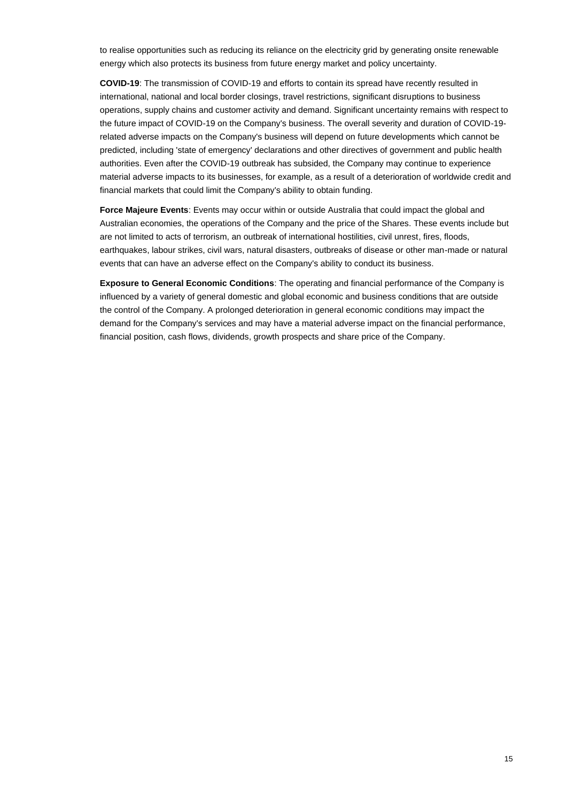to realise opportunities such as reducing its reliance on the electricity grid by generating onsite renewable energy which also protects its business from future energy market and policy uncertainty.

**COVID-19**: The transmission of COVID-19 and efforts to contain its spread have recently resulted in international, national and local border closings, travel restrictions, significant disruptions to business operations, supply chains and customer activity and demand. Significant uncertainty remains with respect to the future impact of COVID-19 on the Company's business. The overall severity and duration of COVID-19 related adverse impacts on the Company's business will depend on future developments which cannot be predicted, including 'state of emergency' declarations and other directives of government and public health authorities. Even after the COVID-19 outbreak has subsided, the Company may continue to experience material adverse impacts to its businesses, for example, as a result of a deterioration of worldwide credit and financial markets that could limit the Company's ability to obtain funding.

**Force Majeure Events**: Events may occur within or outside Australia that could impact the global and Australian economies, the operations of the Company and the price of the Shares. These events include but are not limited to acts of terrorism, an outbreak of international hostilities, civil unrest, fires, floods, earthquakes, labour strikes, civil wars, natural disasters, outbreaks of disease or other man-made or natural events that can have an adverse effect on the Company's ability to conduct its business.

**Exposure to General Economic Conditions**: The operating and financial performance of the Company is influenced by a variety of general domestic and global economic and business conditions that are outside the control of the Company. A prolonged deterioration in general economic conditions may impact the demand for the Company's services and may have a material adverse impact on the financial performance, financial position, cash flows, dividends, growth prospects and share price of the Company.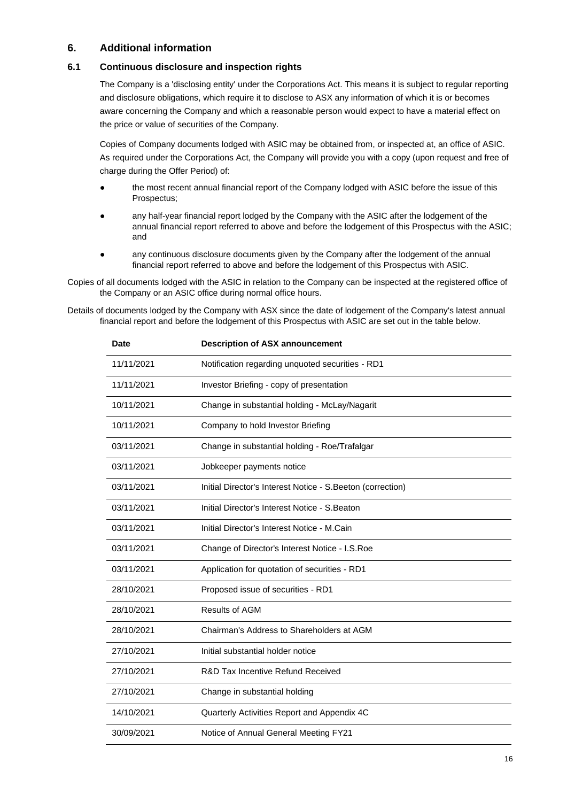### **6. Additional information**

### **6.1 Continuous disclosure and inspection rights**

The Company is a 'disclosing entity' under the Corporations Act. This means it is subject to regular reporting and disclosure obligations, which require it to disclose to ASX any information of which it is or becomes aware concerning the Company and which a reasonable person would expect to have a material effect on the price or value of securities of the Company.

Copies of Company documents lodged with ASIC may be obtained from, or inspected at, an office of ASIC. As required under the Corporations Act, the Company will provide you with a copy (upon request and free of charge during the Offer Period) of:

- the most recent annual financial report of the Company lodged with ASIC before the issue of this Prospectus;
- any half-year financial report lodged by the Company with the ASIC after the lodgement of the annual financial report referred to above and before the lodgement of this Prospectus with the ASIC; and
- any continuous disclosure documents given by the Company after the lodgement of the annual financial report referred to above and before the lodgement of this Prospectus with ASIC.

Copies of all documents lodged with the ASIC in relation to the Company can be inspected at the registered office of the Company or an ASIC office during normal office hours.

Details of documents lodged by the Company with ASX since the date of lodgement of the Company's latest annual financial report and before the lodgement of this Prospectus with ASIC are set out in the table below.

| <b>Date</b> | <b>Description of ASX announcement</b>                      |
|-------------|-------------------------------------------------------------|
| 11/11/2021  | Notification regarding unquoted securities - RD1            |
| 11/11/2021  | Investor Briefing - copy of presentation                    |
| 10/11/2021  | Change in substantial holding - McLay/Nagarit               |
| 10/11/2021  | Company to hold Investor Briefing                           |
| 03/11/2021  | Change in substantial holding - Roe/Trafalgar               |
| 03/11/2021  | Jobkeeper payments notice                                   |
| 03/11/2021  | Initial Director's Interest Notice - S. Beeton (correction) |
| 03/11/2021  | Initial Director's Interest Notice - S. Beaton              |
| 03/11/2021  | Initial Director's Interest Notice - M.Cain                 |
| 03/11/2021  | Change of Director's Interest Notice - I.S. Roe             |
| 03/11/2021  | Application for quotation of securities - RD1               |
| 28/10/2021  | Proposed issue of securities - RD1                          |
| 28/10/2021  | <b>Results of AGM</b>                                       |
| 28/10/2021  | Chairman's Address to Shareholders at AGM                   |
| 27/10/2021  | Initial substantial holder notice                           |
| 27/10/2021  | R&D Tax Incentive Refund Received                           |
| 27/10/2021  | Change in substantial holding                               |
| 14/10/2021  | Quarterly Activities Report and Appendix 4C                 |
| 30/09/2021  | Notice of Annual General Meeting FY21                       |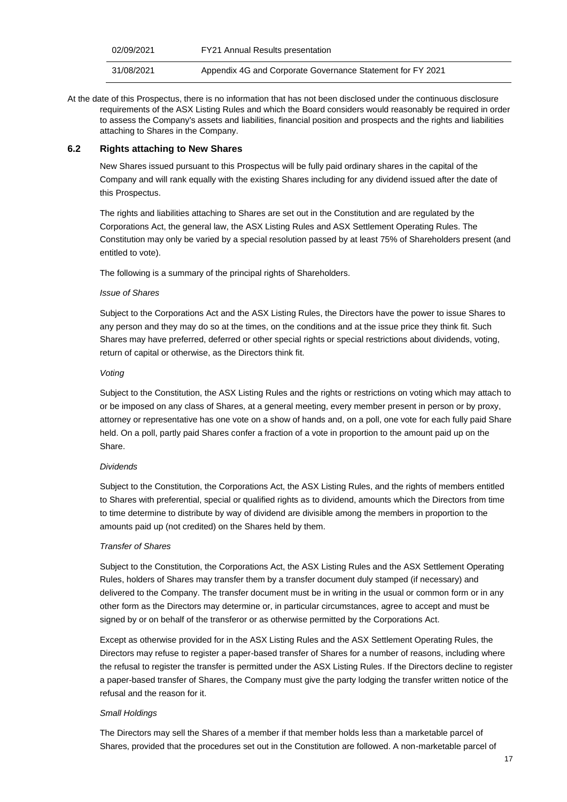| 02/09/2021 | <b>FY21 Annual Results presentation</b>                    |
|------------|------------------------------------------------------------|
| 31/08/2021 | Appendix 4G and Corporate Governance Statement for FY 2021 |

At the date of this Prospectus, there is no information that has not been disclosed under the continuous disclosure requirements of the ASX Listing Rules and which the Board considers would reasonably be required in order to assess the Company's assets and liabilities, financial position and prospects and the rights and liabilities attaching to Shares in the Company.

### **6.2 Rights attaching to New Shares**

New Shares issued pursuant to this Prospectus will be fully paid ordinary shares in the capital of the Company and will rank equally with the existing Shares including for any dividend issued after the date of this Prospectus.

The rights and liabilities attaching to Shares are set out in the Constitution and are regulated by the Corporations Act, the general law, the ASX Listing Rules and ASX Settlement Operating Rules. The Constitution may only be varied by a special resolution passed by at least 75% of Shareholders present (and entitled to vote).

The following is a summary of the principal rights of Shareholders.

#### *Issue of Shares*

Subject to the Corporations Act and the ASX Listing Rules, the Directors have the power to issue Shares to any person and they may do so at the times, on the conditions and at the issue price they think fit. Such Shares may have preferred, deferred or other special rights or special restrictions about dividends, voting, return of capital or otherwise, as the Directors think fit.

#### *Voting*

Subject to the Constitution, the ASX Listing Rules and the rights or restrictions on voting which may attach to or be imposed on any class of Shares, at a general meeting, every member present in person or by proxy, attorney or representative has one vote on a show of hands and, on a poll, one vote for each fully paid Share held. On a poll, partly paid Shares confer a fraction of a vote in proportion to the amount paid up on the Share.

### *Dividends*

Subject to the Constitution, the Corporations Act, the ASX Listing Rules, and the rights of members entitled to Shares with preferential, special or qualified rights as to dividend, amounts which the Directors from time to time determine to distribute by way of dividend are divisible among the members in proportion to the amounts paid up (not credited) on the Shares held by them.

#### *Transfer of Shares*

Subject to the Constitution, the Corporations Act, the ASX Listing Rules and the ASX Settlement Operating Rules, holders of Shares may transfer them by a transfer document duly stamped (if necessary) and delivered to the Company. The transfer document must be in writing in the usual or common form or in any other form as the Directors may determine or, in particular circumstances, agree to accept and must be signed by or on behalf of the transferor or as otherwise permitted by the Corporations Act.

Except as otherwise provided for in the ASX Listing Rules and the ASX Settlement Operating Rules, the Directors may refuse to register a paper-based transfer of Shares for a number of reasons, including where the refusal to register the transfer is permitted under the ASX Listing Rules. If the Directors decline to register a paper-based transfer of Shares, the Company must give the party lodging the transfer written notice of the refusal and the reason for it.

### *Small Holdings*

The Directors may sell the Shares of a member if that member holds less than a marketable parcel of Shares, provided that the procedures set out in the Constitution are followed. A non-marketable parcel of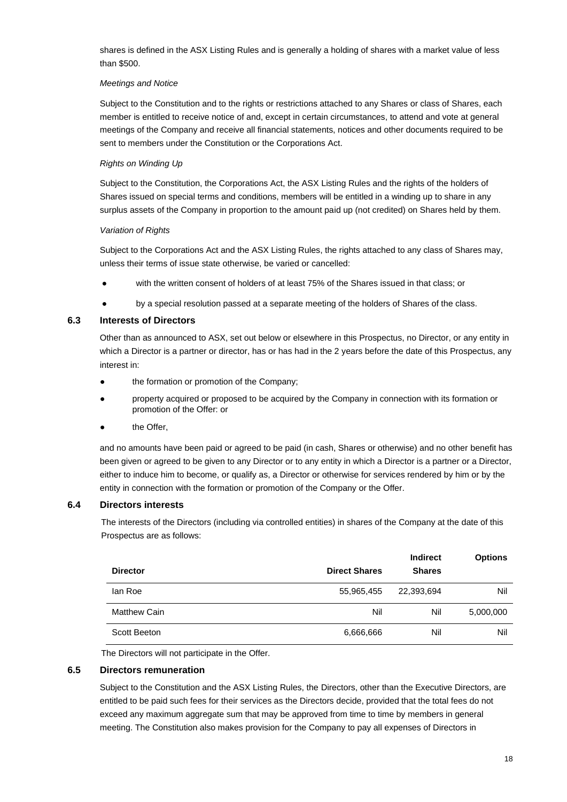shares is defined in the ASX Listing Rules and is generally a holding of shares with a market value of less than \$500.

#### *Meetings and Notice*

Subject to the Constitution and to the rights or restrictions attached to any Shares or class of Shares, each member is entitled to receive notice of and, except in certain circumstances, to attend and vote at general meetings of the Company and receive all financial statements, notices and other documents required to be sent to members under the Constitution or the Corporations Act.

### *Rights on Winding Up*

Subject to the Constitution, the Corporations Act, the ASX Listing Rules and the rights of the holders of Shares issued on special terms and conditions, members will be entitled in a winding up to share in any surplus assets of the Company in proportion to the amount paid up (not credited) on Shares held by them.

### *Variation of Rights*

Subject to the Corporations Act and the ASX Listing Rules, the rights attached to any class of Shares may, unless their terms of issue state otherwise, be varied or cancelled:

- with the written consent of holders of at least 75% of the Shares issued in that class; or
- by a special resolution passed at a separate meeting of the holders of Shares of the class.

### **6.3 Interests of Directors**

Other than as announced to ASX, set out below or elsewhere in this Prospectus, no Director, or any entity in which a Director is a partner or director, has or has had in the 2 years before the date of this Prospectus, any interest in:

- the formation or promotion of the Company;
- property acquired or proposed to be acquired by the Company in connection with its formation or promotion of the Offer: or
- the Offer,

and no amounts have been paid or agreed to be paid (in cash, Shares or otherwise) and no other benefit has been given or agreed to be given to any Director or to any entity in which a Director is a partner or a Director, either to induce him to become, or qualify as, a Director or otherwise for services rendered by him or by the entity in connection with the formation or promotion of the Company or the Offer.

### **6.4 Directors interests**

The interests of the Directors (including via controlled entities) in shares of the Company at the date of this Prospectus are as follows:

| <b>Director</b>     | <b>Direct Shares</b> | <b>Indirect</b><br><b>Shares</b> | <b>Options</b> |
|---------------------|----------------------|----------------------------------|----------------|
| lan Roe             | 55,965,455           | 22,393,694                       | Nil            |
| <b>Matthew Cain</b> | Nil                  | Nil                              | 5,000,000      |
| Scott Beeton        | 6,666,666            | Nil                              | Nil            |

The Directors will not participate in the Offer.

### **6.5 Directors remuneration**

Subject to the Constitution and the ASX Listing Rules, the Directors, other than the Executive Directors, are entitled to be paid such fees for their services as the Directors decide, provided that the total fees do not exceed any maximum aggregate sum that may be approved from time to time by members in general meeting. The Constitution also makes provision for the Company to pay all expenses of Directors in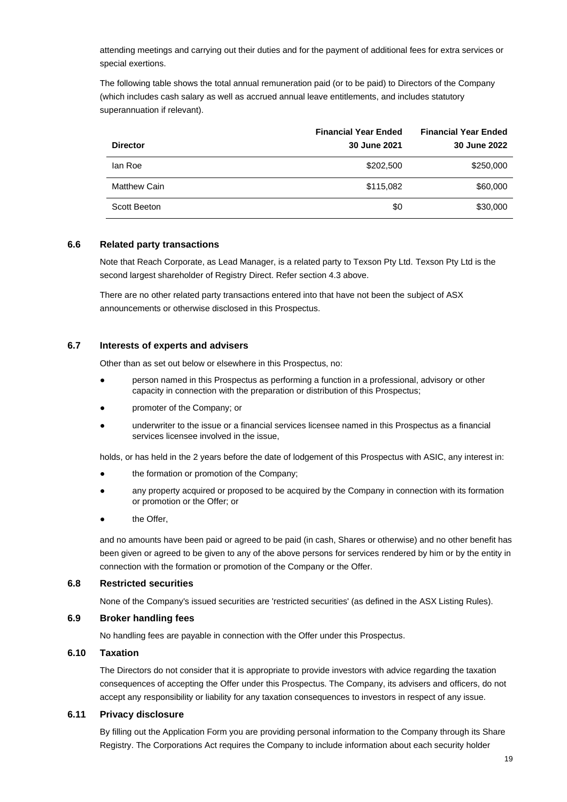attending meetings and carrying out their duties and for the payment of additional fees for extra services or special exertions.

The following table shows the total annual remuneration paid (or to be paid) to Directors of the Company (which includes cash salary as well as accrued annual leave entitlements, and includes statutory superannuation if relevant).

| <b>Director</b>     | <b>Financial Year Ended</b><br>30 June 2021 | <b>Financial Year Ended</b><br>30 June 2022 |
|---------------------|---------------------------------------------|---------------------------------------------|
| lan Roe             | \$202,500                                   | \$250,000                                   |
| <b>Matthew Cain</b> | \$115,082                                   | \$60,000                                    |
| Scott Beeton        | \$0                                         | \$30,000                                    |

### **6.6 Related party transactions**

Note that Reach Corporate, as Lead Manager, is a related party to Texson Pty Ltd. Texson Pty Ltd is the second largest shareholder of Registry Direct. Refer section 4.3 above.

There are no other related party transactions entered into that have not been the subject of ASX announcements or otherwise disclosed in this Prospectus.

#### **6.7 Interests of experts and advisers**

Other than as set out below or elsewhere in this Prospectus, no:

- person named in this Prospectus as performing a function in a professional, advisory or other capacity in connection with the preparation or distribution of this Prospectus;
- promoter of the Company; or
- underwriter to the issue or a financial services licensee named in this Prospectus as a financial services licensee involved in the issue,

holds, or has held in the 2 years before the date of lodgement of this Prospectus with ASIC, any interest in:

- the formation or promotion of the Company;
- any property acquired or proposed to be acquired by the Company in connection with its formation or promotion or the Offer; or
- the Offer,

and no amounts have been paid or agreed to be paid (in cash, Shares or otherwise) and no other benefit has been given or agreed to be given to any of the above persons for services rendered by him or by the entity in connection with the formation or promotion of the Company or the Offer.

#### **6.8 Restricted securities**

None of the Company's issued securities are 'restricted securities' (as defined in the ASX Listing Rules).

### **6.9 Broker handling fees**

No handling fees are payable in connection with the Offer under this Prospectus.

### **6.10 Taxation**

The Directors do not consider that it is appropriate to provide investors with advice regarding the taxation consequences of accepting the Offer under this Prospectus. The Company, its advisers and officers, do not accept any responsibility or liability for any taxation consequences to investors in respect of any issue.

#### **6.11 Privacy disclosure**

By filling out the Application Form you are providing personal information to the Company through its Share Registry. The Corporations Act requires the Company to include information about each security holder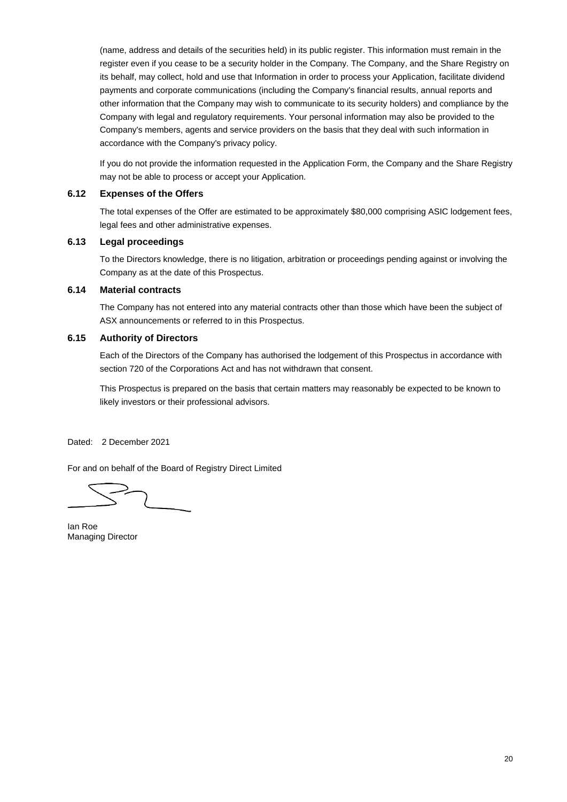(name, address and details of the securities held) in its public register. This information must remain in the register even if you cease to be a security holder in the Company. The Company, and the Share Registry on its behalf, may collect, hold and use that Information in order to process your Application, facilitate dividend payments and corporate communications (including the Company's financial results, annual reports and other information that the Company may wish to communicate to its security holders) and compliance by the Company with legal and regulatory requirements. Your personal information may also be provided to the Company's members, agents and service providers on the basis that they deal with such information in accordance with the Company's privacy policy.

If you do not provide the information requested in the Application Form, the Company and the Share Registry may not be able to process or accept your Application.

### **6.12 Expenses of the Offers**

The total expenses of the Offer are estimated to be approximately \$80,000 comprising ASIC lodgement fees, legal fees and other administrative expenses.

### **6.13 Legal proceedings**

To the Directors knowledge, there is no litigation, arbitration or proceedings pending against or involving the Company as at the date of this Prospectus.

### **6.14 Material contracts**

The Company has not entered into any material contracts other than those which have been the subject of ASX announcements or referred to in this Prospectus.

### **6.15 Authority of Directors**

Each of the Directors of the Company has authorised the lodgement of this Prospectus in accordance with section 720 of the Corporations Act and has not withdrawn that consent.

This Prospectus is prepared on the basis that certain matters may reasonably be expected to be known to likely investors or their professional advisors.

Dated: 2 December 2021

For and on behalf of the Board of Registry Direct Limited

Ian Roe Managing Director